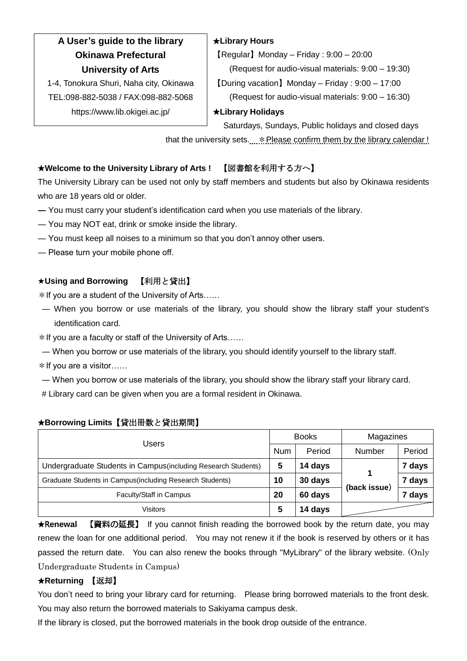# **A User's guide to the library Okinawa Prefectural University of Arts**

1-4, Tonokura Shuri, Naha city, Okinawa TEL:098-882-5038 / FAX:098-882-5068 https://www.lib.okigei.ac.jp/

## ★**Library Hours**

 $[Regular]$  Monday – Friday :  $9:00 - 20:00$ 

(Request for audio-visual materials: 9:00 – 19:30)

【During vacation】Monday – Friday : 9:00 – 17:00

(Request for audio-visual materials: 9:00 – 16:30)

#### ★**Library Holidays**

Saturdays, Sundays, Public holidays and closed days

that the university sets... \* Please confirm them by the library calendar !

# ★**Welcome to the University Library of Arts !** 【図書館を利用する方へ】

The University Library can be used not only by staff members and students but also by Okinawa residents who are 18 years old or older.

- **―** You must carry your student's identification card when you use materials of the library.
- ― You may NOT eat, drink or smoke inside the library.
- ― You must keep all noises to a minimum so that you don't annoy other users.
- ― Please turn your mobile phone off.

## **★Using and Borrowing 【利用と貸出】**

\*If you are a student of the University of Arts……

- ― When you borrow or use materials of the library, you should show the library staff your student's identification card.
- \*If you are a faculty or staff of the University of Arts……
- ― When you borrow or use materials of the library, you should identify yourself to the library staff.
- \*If you are a visitor……
- ― When you borrow or use materials of the library, you should show the library staff your library card.
- # Library card can be given when you are a formal resident in Okinawa.

#### ★**Borrowing Limits**【貸出冊数と貸出期間】

| Users                                                          | <b>Books</b> |         | Magazines    |        |
|----------------------------------------------------------------|--------------|---------|--------------|--------|
|                                                                | <b>Num</b>   | Period  | Number       | Period |
| Undergraduate Students in Campus (including Research Students) | 5            | 14 days | (back issue) | 7 days |
| Graduate Students in Campus (including Research Students)      | 10           | 30 days |              | 7 days |
| Faculty/Staff in Campus                                        | 20           | 60 days |              | 7 days |
| Visitors                                                       | 5            | 14 days |              |        |

★R**enewal** 【資料の延長】 If you cannot finish reading the borrowed book by the return date, you may renew the loan for one additional period. You may not renew it if the book is reserved by others or it has passed the return date. You can also renew the books through "MyLibrary" of the library website. (Only Undergraduate Students in Campus)

## ★**Returning** 【返却】

You don't need to bring your library card for returning. Please bring borrowed materials to the front desk. You may also return the borrowed materials to Sakiyama campus desk.

If the library is closed, put the borrowed materials in the book drop outside of the entrance.